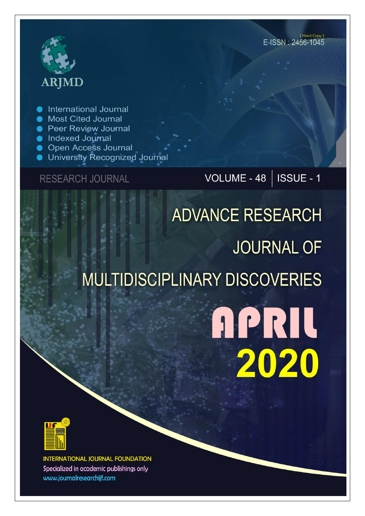# **ARJMD**

**International Journal** 

- **Most Cited Journal**
- **Peer Review Journal**
- lndexed Journal
- **Open Access Journal**
- University Recognized Journal

### **RESEARCH JOURNAL**

## VOLUME - 48 | ISSUE - 1

## **ADVANCE RESEARCH JOURNAL OF MULTIDISCIPLINARY DISCOVERIES**

## **APRIL** 2020



**INTERNATIONAL JOURNAL FOUNDATION** Specialized in academic publishings only www.journalresearchijf.com

(Hard Copy) E-ISSN: 2456-1045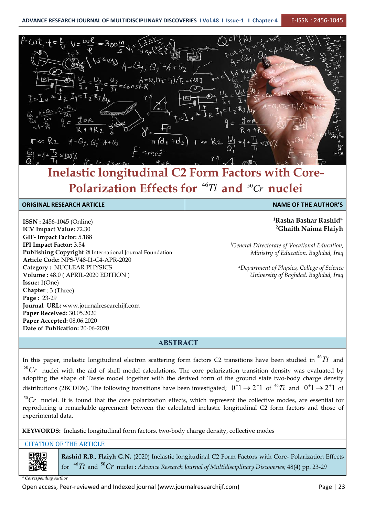#### **ADVANCE RESEARCH JOURNAL OF MULTIDISCIPLINARY DISCOVERIES I Vol.48 I Issue-1 I Chapter-4** E-ISSN : 2456-1045

| $f = \omega t$<br>S                                                                                                                                                                                                                                                                                      |
|----------------------------------------------------------------------------------------------------------------------------------------------------------------------------------------------------------------------------------------------------------------------------------------------------------|
| $P=UU$<br>i zv<br>Ξ                                                                                                                                                                                                                                                                                      |
| $Q_{2}$<br>$A = Q_2(T_2 - T_1)/T_2 = 418 J$                                                                                                                                                                                                                                                              |
| <b>A</b> U.<br>ECOOS1<br>$\overline{\mathbf{r}}$<br>I≂.                                                                                                                                                                                                                                                  |
| $A + G2$                                                                                                                                                                                                                                                                                                 |
| an<br>an<br>121<br>4R<br>R2                                                                                                                                                                                                                                                                              |
| R <sub>2</sub><br>$\pi(d_1 + d_2)$<br>$A = Q_{1}$<br>$r \ll$<br>$Q_2$<br>$-4+Q_2$<br>$\frac{12}{7}$ $\approx$ 200'/                                                                                                                                                                                      |
| $^{12}$ $\approx$ 700 $'$<br>u                                                                                                                                                                                                                                                                           |
| $\mathbf{r} = \mathbf{1}$<br>and the company of the company<br><b>The contract of the contract of the contract of the contract of the contract of the contract of the contract of the contract of the contract of the contract of the contract of the contract of the contract of the contract </b><br>ш |

### **Inelastic longitudinal C2 Form Factors with Core- Polarization Effects for**  $^{46}Ti$  and  $^{50}Cr$  nuclei

| <b>ORIGINAL RESEARCH ARTICLE</b>                        | <b>NAME OF THE AUTHOR'S</b>                               |
|---------------------------------------------------------|-----------------------------------------------------------|
|                                                         |                                                           |
| <b>ISSN</b> : 2456-1045 (Online)                        | <sup>1</sup> Rasha Bashar Rashid*                         |
| ICV Impact Value: 72.30                                 | <sup>2</sup> Ghaith Naima Flaiyh                          |
| GIF-Impact Factor: 5.188                                |                                                           |
| <b>IPI Impact Factor: 3.54</b>                          | <sup>1</sup> General Directorate of Vocational Education, |
| Publishing Copyright @ International Journal Foundation | Ministry of Education, Baghdad, Iraq                      |
| Article Code: NPS-V48-I1-C4-APR-2020                    |                                                           |
| Category: NUCLEAR PHYSICS                               | <sup>2</sup> Department of Physics, College of Science    |
| Volume: 48.0 (APRIL-2020 EDITION)                       | University of Baghdad, Baghdad, Iraq                      |
| <b>Issue:</b> $1(One)$                                  |                                                           |
| <b>Chapter</b> : 3 (Three)                              |                                                           |
| Page: 23-29                                             |                                                           |
| Journal URL: www.journalresearchijf.com                 |                                                           |
| Paper Received: 30.05.2020                              |                                                           |
| Paper Accepted: 08.06.2020                              |                                                           |
| Date of Publication: 20-06-2020                         |                                                           |
|                                                         |                                                           |

**ABSTRACT**

In this paper, inelastic longitudinal electron scattering form factors C2 transitions have been studied in  $^{46}Ti~$  and  $\vert\,\vert$  $^{50}Cr$  nuclei with the aid of shell model calculations. The core polarization transition density was evaluated by  $\vert\,\vert$ adopting the shape of Tassie model together with the derived form of the ground state two-body charge density distributions (2BCDD's). The following transitions have been investigated;  $0^+$ 1  $\rightarrow$  2<sup>+</sup>1 of  $^46Ti$  and  $0^+$ 1  $\rightarrow$  2<sup>+</sup>1 of  $||$ 

 $^{50}Cr$  nuclei. It is found that the core polarization effects, which represent the collective modes, are essential for  $||$ reproducing a remarkable agreement between the calculated inelastic longitudinal C2 form factors and those of experimental data.

**KEYWORDS:** Inelastic longitudinal form factors, two-body charge density, collective modes

#### CITATION OF THE ARTICLE

**Rashid R.B., Flaiyh G.N.** (2020) Inelastic longitudinal C2 Form Factors with Core- Polarization Effects for  $\ ^{46}Ti$  and  $\ ^{50}Cr$  nuclei ; Advance Research Journal of Multidisciplinary Discoveries; 48(4) pp. 23-29  $\hspace{0.1cm}$ 

*\* Corresponding Author*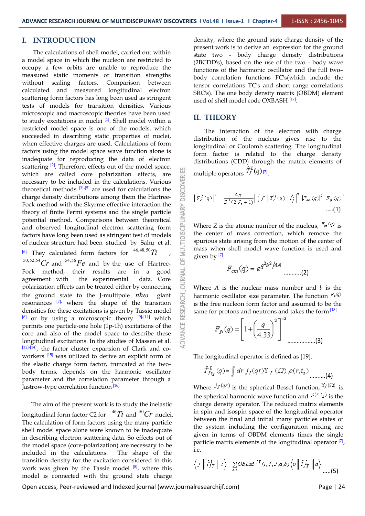OF MULTIDISCIPLINARY

#### **I. INTRODUCTION**

The calculations of shell model, carried out within a model space in which the nucleon are restricted to occupy a few orbits are unable to reproduce the measured static moments or transition strengths without scaling factors. Comparison between calculated and measured longitudinal electron scattering form factors has long been used as stringent tests of models for transition densities. Various microscopic and macroscopic theories have been used to study excitations in nuclei  $\left[1\right]$ . Shell model within a restricted model space is one of the models, which succeeded in describing static properties of nuclei, when effective charges are used. Calculations of form factors using the model space wave function alone is inadequate for reproducing the data of electron scattering  $[2]$ . Therefore, effects out of the model space, which are called core polarization effects, are necessary to be included in the calculations. Various theoretical methods  $[3]$ - $[5]$  are used for calculations the charge density distributions among them the Hartreenecessary to be included in the calculations. Various theoretical methods  $[3]$ - $[5]$  are used for calculations the charge density distributions among them the Hartree- Fock method with the Skyrme effective interaction the theory of finite Fermi systems and the single particle potential method. Comparisons between theoretical and observed longitudinal electron scattering form factors have long been used as stringent test of models of nuclear structure had been studied by Sahu et al.  $[6]$ . They calculated form factors for  $46,48,50$  Ti  $^{50,52,54}Cr$  and  $^{54,56}Fe$  and by the use of Hartree-Fock method, their results are in a good agreement with the experimental data. Core polarization effects can be treated either by connecting agreement with the experimental polarization effects can be treated either by connecting the ground state to the J-multipole  $n\hbar\omega$  giant<br>resonances <sup>[7]</sup> where the shape of the transition<br>densities for these excitations is given by Tassie model<br><sup>[8]</sup> or by using a microscopic theory <sup>[9]-[11]</sup> which resonances  $\boxed{7}$ , where the shape of the transition  $\frac{36}{7}$  is the free nucleon densities for these excitations is given by Tassie model  $[8]$  or by using a microscopic theory  $[9]$ - $[11]$  which  $\cong$ permits one particle-one hole (1p-1h) excitations of the core and also of the model space to describe these longitudinal excitations. In the studies of Massen et al.  $[12]$ - $[14]$ , the factor cluster expansion of Clark and coworkers <sup>[15]</sup> was utilized to derive an explicit form of The longitudinal operator the elastic charge form factor, truncated at the two body terms, depends on the harmonic oscillator parameter and the correlation parameter through a Jastrow-type correlation function <sup>[16].</sup>

The aim of the present work is to study the inelastic longitudinal form factor C2 for  $46Ti$  and  $50Cr$  nuclei. In spin and isosp The calculation of form factors using the many particle shell model space alone were known to be inadequate in describing electron scattering data. So effects out of the model space (core-polarization) are necessary to be included in the calculations. The shape of the transition density for the excitation considered in this work was given by the Tassie model  $[8]$ , where this  $\bigvee \mathbb{I}^{\prime}$ model is connected with the ground state charge

density, where the ground state charge density of the present work is to derive an expression for the ground state two - body charge density distributions (2BCDD's), based on the use of the two - body wave functions of the harmonic oscillator and the full two– body correlation functions FC's(which include the tensor correlations TC's and short range correlations SRC's). The one body density matrix (OBDM) element used of shell model code OXBASH<sup>[17]</sup>.

#### **II. THEORY**

The interaction of the electron with charge distribution of the nucleus gives rise to the longitudinal or Coulomb scattering. The longitudinal form factor is related to the charge density distributions (CDD) through the matrix elements of multiple operators  $\frac{1}{2}$   $\left(\frac{q}{l}\right)$   $\left[7\right]$ .

$$
\left| F_{J}^{L}(q) \right|^{2} = \frac{4\pi}{Z^{2}(2 J_{i} + 1)} \left| \left\langle f \right| \left| \hat{T}_{J}^{L}(q) \right| \right| i \rangle \right|^{2} \left| F_{\alpha}(q) \right|^{2} \left| F_{\beta}(q) \right|^{2} \dots (1)
$$

Where *Z* is the atomic number of the nucleus,  $F_{\alpha}(\mathbf{q})$  is the center of mass correction, which remove the spurious state arising from the motion of the center of mass when shell model wave function is used and given by  $^{[7]}$ .

$$
F_{cm}(q) = e^{q^2b^2/4A} \dots (2)
$$

Where *A* is the nuclear mass number and *b* is the harmonic oscillator size parameter. The function  $F_{\phi}(q)$ is the free nucleon form factor and assumed to be the same for protons and neutrons and takes the form [18]

$$
F_{f_3}(q) = \left[1 + \left(\frac{q}{4.33}\right)^2\right]^{-2}
$$
............(3)

The longitudinal operator is defined as [19].

$$
\hat{T}_{Jt_{\mathbf{z}}}^{L}(q) = \int dr \; j_{J}(qr) Y_{J}(\varOmega) \; \rho(r,t_{\mathbf{z}}) \; \dots \qquad (4)
$$

Where  $j_J(qr)$  is the spherical Bessel function,  $Y_J(\Omega)$  is the spherical harmonic wave function and  $\varphi(r,t_z)$  is the charge density operator. The reduced matrix elements in spin and isospin space of the longitudinal operator between the final and initial many particles states of the system including the configuration mixing are given in terms of OBDM elements times the single particle matrix elements of the longitudinal operator <sup>[7]</sup>, i.e.

$$
\left\langle f \parallel \hat{T}_{JT}^L \parallel i \right\rangle = \sum_{a,b} \text{OBDM}^{JT}(i, f, J, a, b) \left\langle b \parallel \hat{T}_{JT}^L \parallel a \right\rangle \dots (5)
$$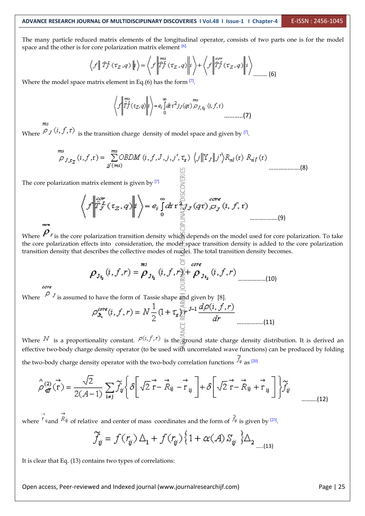The many particle reduced matrix elements of the longitudinal operator, consists of two parts one is for the model space and the other is for core polarization matrix element <sup>[6].</sup>

$$
\left\langle f \middle| \hat{T}_J^L(\tau_Z, q) \middle| i \right\rangle = \left\langle f \middle| \hat{T}_J^L(\tau_Z, q) \middle| i \right\rangle + \left\langle f \middle| \hat{T}_J^{or}( \tau_Z, q) \middle| i \right\rangle_{\text{........(6)}}
$$

Where the model space matrix element in Eq.(6) has the form  $[7]$ .

 $\left\langle f \left| \int_{T}^{ms} (\tau_Z, q) \right| t \right\rangle = e_i \int_0^\infty dr \, r^2 f_J(qr) \mathop{\sim}\limits_{J,\tau_Z}^{ms} (i, f, r) \dots \dots \dots$ 

Where  $\forall J \rightarrow J$ ,  $\rightarrow$  is the transition charge density of model space and given by  $[7]$ .

$$
\sum_{j}^{m s} f_{i, \tau_{\mathbf{Z}}} (i, f, \mathbf{r}) = \sum_{j \in (m s)}^{m s} \text{OBDM} (i, f, J, j, j', \tau_{\mathbf{z}}) \left\langle j \middle| \mathbf{Y}_{J} \middle| \mathbf{y}' \right\rangle R_{n l}(\mathbf{r}) R_{n l}(\mathbf{r})
$$
\n
$$
\text{Q} \tag{8}
$$

The core polarization matrix element is given by  $[7]$   $\geq$ 

………..…….(9)

Where  $P<sub>j</sub>$  is the core polarization transition density which depends on the model used for core polarization. To take the core polarization effects into consideration, the model space transition density is added to the core polarization transition density that describes the collective modes of nuclei. The total transition density becomes.

$$
\rho_{J_{\mathbf{I}_{2}}}(i, f, r) = \stackrel{\text{MS}}{\rho}_{J_{\mathbf{I}_{2}}}(i, f, r) \stackrel{\text{core}}{\underset{\text{def}}{\leq}} \rho_{J_{\mathbf{I}_{2}}}(i, f, r) \qquad (10)}
$$

care

Where  $\int_{0}^{\infty} J$  is assumed to have the form of Tassie shape and given by [8].

$$
\rho_{\mathbf{x}_t}^{\text{core}}(i, f, r) = N \frac{1}{2} \left( 1 + \tau_{\mathbf{x}} \prod_{\substack{\omega \\ \omega \\ \omega}}^{\infty} J^{-1} \frac{d\rho(i, f, r)}{dr} \right) \dots \dots \dots \dots \dots \dots \dots \dots \tag{11}
$$

Where  $N$  is a proportionality constant.  $\rho(i, f, r)$  is the ground state charge density distribution. It is derived an effective two-body charge density operator (to be used with uncorrelated wave functions) can be produced by folding the two-body charge density operator with the two-body correlation functions  $\frac{J\ddot{v}}{v}$  as  $^{[20]}$ 

$$
\hat{\sigma}_{\mathcal{G}}^{(2)}(\vec{r}) = \frac{\sqrt{2}}{2(A-1)} \sum_{i \neq j} \widetilde{f}_{ij} \left\{ \delta \left[ \sqrt{2} \vec{r} - \vec{R}_{ij} - \vec{r}_{ij} \right] + \delta \left[ \sqrt{2} \vec{r} - \vec{R}_{ij} + \vec{r}_{ij} \right] \right\} \widetilde{f}_{ij}
$$
\n
$$
\tag{12}
$$

where <sup>r<sub>ij</sub> and <sup> $K$ ij</sup> of relative and center of mass coordinates and the form of  $J_\nu$  is given by <sup>[23]</sup>.</sup>

$$
\widetilde{f}_{ij} = f(r_{ij}) \Delta_1 + f(r_{ij}) \left\{ 1 + \alpha(A) S_{ij} \right\} \Delta_2 \Delta_{\text{max}(13)}
$$

It is clear that Eq. (13) contains two types of correlations: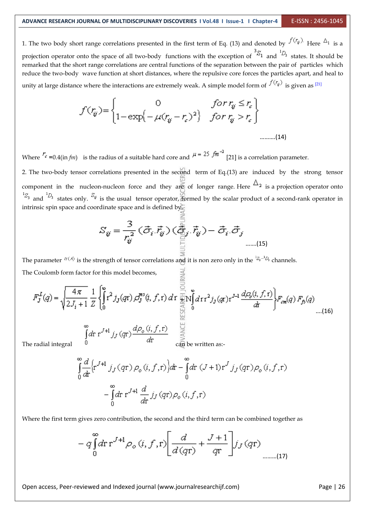1. The two body short range correlations presented in the first term of Eq. (13) and denoted by  $f(r_{ij})$ . Here  $\Delta_1$  is a projection operator onto the space of all two-body functions with the exception of  ${}^{3}S_{1}$  and  ${}^{1}D_{3}$  states. It should be remarked that the short range correlations are central functions of the separation between the pair of particles which reduce the two-body wave function at short distances, where the repulsive core forces the particles apart, and heal to unity at large distance where the interactions are extremely weak. A simple model form of  $\frac{J \vee \forall \psi'}{S}$  is given as  $[21]$ 

$$
f(r_{ij}) = \begin{cases} 0 & \text{for } r_{ij} \le r_c \\ 1 - \exp\left(-\mu (r_{ij} - r_c)^2\right) & \text{for } r_{ij} > r_c \end{cases}
$$
........(14)

Where  $\frac{r_c}{r}$  =0.4(in *fm*) is the radius of a suitable hard core and  $\mu = 25$  *fm*<sup>-2</sup> [21] is a correlation parameter.

2. The two-body tensor correlations presented in the second term of Eq.(13) are induced by the strong tensor component in the nucleon-nucleon force and they are of longer range. Here  $\Delta_2$  is a projection operator onto  $^{15}$ <sub>3</sub> and  $^{10}$ <sub>3</sub> states only.  $^{5}$ <sub>*V*</sub> is the usual tensor operator, formed by the scalar product of a second-rank operator in intrinsic spin space and coordinate space and is defined by.

$$
S_{ij} = \frac{3}{r_{ij}^2} (\vec{\sigma}_i \cdot \vec{r}_{ij}) (\underbrace{\vec{\vec{\sigma}}_j}_{\mathbb{H}} \cdot \vec{r}_{ij}) - \vec{\sigma}_i \cdot \vec{\sigma}_j
$$
\n<sub>(15)</sub>

The parameter  $\alpha(A)$  is the strength of tensor correlations and it is non zero only in the  ${}^{1}S_{3}{}^{-1}D_{3}$  channels. The Coulomb form factor for this model becomes,  $\overline{\underset{\underset{\sim}{\simeq}}}$ 

$$
F_J^L(q) = \sqrt{\frac{4\pi}{2J_i + 1}} \frac{1}{Z} \left\{ \int_0^{\infty} r^2 j_J(qr) \, dJ_J^{\text{ms}}(i, f, r) \, dr \prod_{\substack{u=1 \\ u \text{ odd}}}^{\infty} \int_0^{\infty} dr r^2 j_J(qr) r^{J-1} \, \frac{d\varphi_o(i, f, r)}{dt} \right\} F_{cm}(q) \, F_{fb}(q) \tag{16}
$$
\n
$$
\int_0^{\infty} dr \, r^{J+1} \, j_J(qr) \frac{d\varphi_o(i, f, r)}{dr} \quad \text{with} \quad \text{as:}
$$

$$
\int_{0}^{\infty} \frac{d}{dt} \Big[ r^{J+1} j_J(qr) \rho_o(i, f, r) \Big] dr - \int_{0}^{\infty} dr (J+1) r^J j_J(qr) \rho_o(i, f, r)
$$

$$
- \int_{0}^{\infty} dr r^{J+1} \frac{d}{dr} j_J(qr) \rho_o(i, f, r)
$$

Where the first term gives zero contribution, the second and the third term can be combined together as

$$
-q\int_{0}^{\infty}d\mathbf{r}\,\mathbf{r}^{J+1}\rho_{o}\left(i,f,\mathbf{r}\right)\left[\frac{d}{d\left(q\mathbf{r}\right)}+\frac{J+1}{q\mathbf{r}}\right]j_{J}\left(q\mathbf{r}\right)_{\text{num.}\left(17\right)}
$$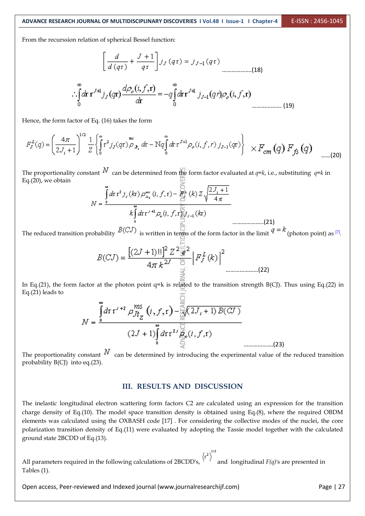From the recurssion relation of spherical Bessel function:

$$
\left[\frac{d}{d\left(q\mathbf{r}\right)} + \frac{J+1}{q\mathbf{r}}\right]j_{J}\left(q\mathbf{r}\right) = j_{J-1}\left(q\mathbf{r}\right)
$$
\n
$$
\therefore \int_{0}^{\infty} d\mathbf{r} \mathbf{r}^{J\mathbf{H}} j_{J}\left(q\mathbf{r}\right) \frac{d\rho_{\rho}\left(i, f, \mathbf{r}\right)}{d\mathbf{r}} = -q \int_{0}^{\infty} d\mathbf{r} \mathbf{r}^{J\mathbf{H}} j_{J-1}\left(q\mathbf{r}\right) \rho_{\rho}\left(i, f, \mathbf{r}\right)
$$
\n
$$
(19)
$$

Hence, the form factor of Eq.(16) takes the form

$$
F_J^L(q) = \left(\frac{4\pi}{2J_i+1}\right)^{1/2} \frac{1}{Z} \left\{ \int_0^\infty r^2 f_J(qr) \rho_{\mathfrak{F}_{\mathfrak{F}_i}} dr - Nq \int_0^\infty dr \, r^{J+1} \rho_o(i, f, r) \, f_{J-1}(qr) \right\} \times F_{cm}(q) \, F_{fs}(q) \quad \dots (20)
$$

The proportionality constant  $N$  can be determined from the form factor evaluated at *q*=*k*, i.e., substituting *q*=*k* in Eq.(20), we obtain

$$
N = \frac{\int_{0}^{\infty} d\mathbf{r} \, \mathbf{r}^{2} \, j_{j} \left( k\mathbf{r} \right) \rho_{n_{2}}^{\pi^{2}} \left( i, f, \mathbf{r} \right) - \sum_{i=1}^{M} \left( k \right) Z \sqrt{\frac{2J_{i} + 1}{4\pi}}
$$
\n
$$
k \int_{0}^{\infty} d\mathbf{r} \, \mathbf{r}'^{\mathrm{H}} \rho_{o} \left( i, f, \mathbf{r} \sum_{i=1}^{M} j_{i-1} \left( k\mathbf{r} \right) \right)
$$
\n
$$
P(\mathbf{r}, \mathbf{r}')^{\mathrm{H}} \rho_{o}(\mathbf{r}, \mathbf{r}) \tag{21}
$$

The reduced transition probability  $P(\neg \neg)$  is written in terms of the form factor in the limit  $P(\neg \neg)$  (photon point) as  $[7]$ .

$$
B(CJ) = \frac{\left[ (2J+1)!! \right]^2 Z^{\frac{2}{32}2}}{4\pi k^{2J}} \left| F_J^L(k) \right|^2
$$
 (22)

In Eq.(21), the form factor at the photon point  $q=k$  is related to the transition strength B(CJ). Thus using Eq.(22) in Eq.(21) leads to 兲

$$
N = \frac{\int_{0}^{\infty} dr \, r'^{12} \, \rho_{Jt_{Z}}^{MS} (i, f, r) - \sum_{\substack{i=0 \ i \neq j}}^{\infty} (2J_{i} + 1) \, B(\text{CJ})}{(2J + 1) \int_{0}^{\infty} dr \, r^{2J} \sum_{\substack{i=0 \ i \neq j}}^{\infty} (i, f, r)}
$$
\n(23)

The proportionality constant  $N$  can be determined by introducing the experimental value of the reduced transition probability B(CJ) into eq.(23).

#### **III. RESULTS AND DISCUSSION**

The inelastic longitudinal electron scattering form factors C2 are calculated using an expression for the transition charge density of Eq.(10). The model space transition density is obtained using Eq.(8), where the required OBDM elements was calculated using the OXBASH code [17] . For considering the collective modes of the nuclei, the core polarization transition density of Eq.(11) were evaluated by adopting the Tassie model together with the calculated ground state 2BCDD of Eq.(13).

All parameters required in the following calculations of 2BCDD's,  $\langle r^2 \rangle^{1/2}$  and longitudinal *F(q)*'s are presented in Tables (1).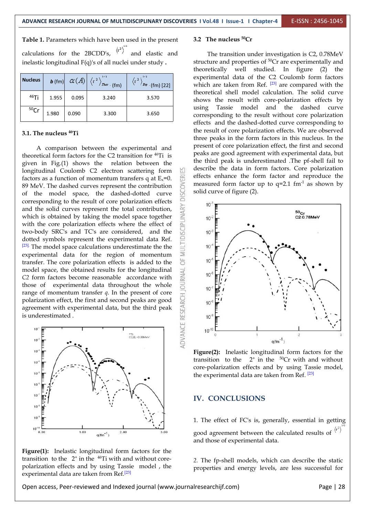**Table 1.** Parameters which have been used in the present calculations for the 2BCDD's,  $\langle r^2 \rangle^{\prime\prime}$  and elastic and inelastic longitudinal F(q)'s of all nuclei under study .

| <b>Nucleus</b> | $\bm{b}$ (fm) | $\alpha(A)$ | 1/2<br>$T$ keo $(fm)$ | 112<br>$(r^2)$<br>$\sqrt{P_{\lambda}p}$ (fm) [22] |
|----------------|---------------|-------------|-----------------------|---------------------------------------------------|
| $46$ Ti        | 1.955         | 0.095       | 3.240                 | 3.570                                             |
| 50Cr           | 1.980         | 0.090       | 3.300                 | 3.650                                             |

#### **3.1. The nucleus <sup>46</sup>Ti**

A comparison between the experimental and theoretical form factors for the C2 transition for <sup>46</sup>Ti is Peaks are given in Fig.(1) shows the relation between the longitudinal Coulomb C2 electron scattering form factors as a function of momentum transfers q at  $E_x=0$ . 89 MeV. The dashed curves represent the contribution of the model space, the dashed-dotted curve  $\frac{65}{6}$ corresponding to the result of core polarization effects and the solid curves represent the total contribution, which is obtained by taking the model space together with the core polarization effects where the effect of and the solid curves represent the total contribution, which is obtained by taking the model space together  $\Xi$  10 with the core polarization effects where the effect of two-body SRC's and TC's are considered, and the dotted symbols represent the experimental data Ref. [23]. The model space calculations underestimate the the  $\frac{1}{2}$  10 experimental data for the region of momentum  $\ge$ <br>transfer. The core polarization effects is added to the transfer. The core polarization effects is added to the model space, the obtained results for the longitudinal  $\vec{\le}$ *C2* form factors become reasonable accordance with those of experimental data throughout the whole  $\frac{3}{6}$  10 range of momentum transfer *q*. In the present of core polarization effect, the first and second peaks are good agreement with experimental data, but the third peak is underestimated. polarization effect, the first and second peaks are good  $\frac{1}{\alpha}$  10 agreement with experimental data, but the third peak is underestimated .



**Figure(1):** Inelastic longitudinal form factors for the transition to the  $2^+$  in the <sup>46</sup>Ti with and without core- 2. The polarization effects and by using Tassie model, the experimental data are taken from  $\text{Ref.}^{[23]}$ 

#### **3.2 The nucleus <sup>50</sup>Cr**

The transition under investigation is C2, 0.78MeV structure and properties of <sup>50</sup>Cr are experimentally and theoretically well studied. In figure (2) the experimental data of the C2 Coulomb form factors which are taken from Ref.  $[23]$  are compared with the theoretical shell model calculation. The solid curve shows the result with core-polarization effects by using Tassie model and the dashed curve corresponding to the result without core polarization effects and the dashed-dotted curve corresponding to the result of core polarization effects. We are observed three peaks in the form factors in this nucleus. In the present of core polarization effect, the first and second peaks are good agreement with experimental data, but the third peak is underestimated .The pf-shell fail to describe the data in form factors. Core polarization effects enhance the form factor and reproduce the measured form factor up to  $q=2.1$  fm<sup>-1</sup> as shown by solid curve of figure (2).



**Figure(2):** Inelastic longitudinal form factors for the transition to the  $2^+$  in the <sup>50</sup>Cr with and without core-polarization effects and by using Tassie model, the experimental data are taken from Ref. <sup>[23]</sup>

#### **IV. CONCLUSIONS**

1. The effect of FC's is, generally, essential in getting good agreement between the calculated results of  $\langle r^2 \rangle$ and those of experimental data.

*2.* The fp-shell models, which can describe the static properties and energy levels, are less successful for